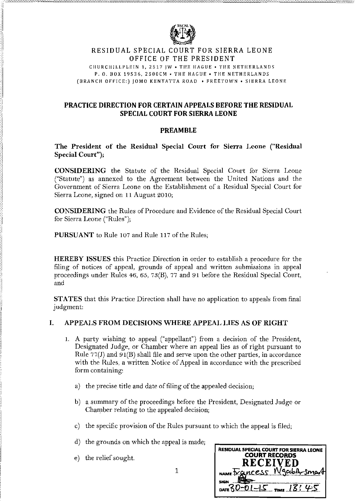

## RESIDUAL SPECIAL COURT FOR SIERRA LEONE OFFICE OF THE PRESIDENT

CHURCHILLPLEIN 1, 2517 JW . THE HAGUE . THE NETHERLANDS P. O. BOX 19536, 2500CM - THE HAGUE - THE NETHERLANDS (BRANCH OFFICE:) JOMO KENYATTA ROAD • FREETOWN • SIERRA LEONE

# **PRACTICE DIRECTION FOR CERTAIN APPEALS BEFORE THE RESIDUAL SPECIAL COURT FOR SIERRA LEONE**

# **PREAMBLE**

## The President of the Residual Special Court for Sierra Leone ("Residual Special Court");

**CONSIDERING** the Statute of the Residual Special Court for Sierra Leone ("Statute") as annexed to the Agreement between the United Nations and the Government of Sierra Leone on the Establishment of a Residual Special Court for Sierra Leone, signed on 11 August 2010;

**CONSIDERING** the Rules of Procedure and Evidence of the Residual Special Court for Sierra Leone ("Rules");

PURSUANT to Rule 107 and Rule 117 of the Rules;

**HEREBY ISSUES** this Practice Direction in order to establish a procedure for the filing of notices of appeal, grounds of appeal and written submissions in appeal proceedings under Rules 46, 65, 73(B), 77 and 91 before the Residual Special Court, and

**STATES** that this Practice Direction shall have no application to appeals from final judgment:

### APPEALS FROM DECISIONS WHERE APPEAL LIES AS OF RIGHT  $\mathbf{L}$

- 1. A party wishing to appeal ("appellant") from a decision of the President, Designated Judge, or Chamber where an appeal lies as of right pursuant to Rule  $77(J)$  and  $91(B)$  shall file and serve upon the other parties, in accordance with the Rules, a written Notice of Appeal in accordance with the prescribed form containing:
	- a) the precise title and date of filing of the appealed decision;
	- b) a summary of the proceedings before the President, Designated Judge or Chamber relating to the appealed decision;
	- c) the specific provision of the Rules pursuant to which the appeal is filed;
	- d) the grounds on which the appeal is made;
	- e) the relief sought.

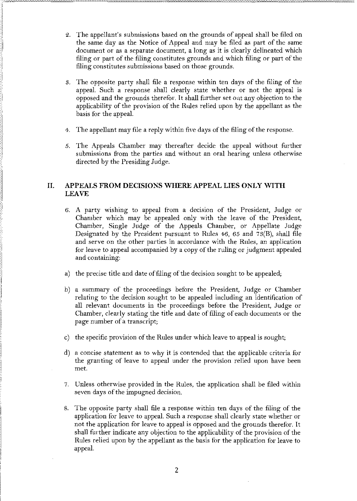- 2. The appellant's submissions based on the grounds of appeal shall be filed on the same day as the Notice of Appeal and may be filed as part of the same document or as a separate document, a long as it is clearly delineated which filing or part of the filing constitutes grounds and which filing or part of the filing constitutes submissions based on those grounds.
- s. The opposite party shall file a response within ten days of the filing of the appeal. Such a response shall clearly state whether or not the appeal is opposed and the grounds therefor. It shall further set out any objection to the applicability of the provision of the Rules relied upon by the appellant as the basis for the appeal.
- 4. The appellant may file a reply within five days of the filing of the response.
- 5. The Appeals Chamber may thereafter decide the appeal without further submissions from the parties and without an oral hearing unless otherwise directed by the Presiding Judge.

## II. **APPEALS FROM DECISIONS WHERE APPEAL** LIES **ONLY WITH LEAVE**

- 6. A party wishing to appeal from a decision of the President, Judge or Chamber which may be appealed only with the leave of the President, Chamber, Single Judge of the Appeals Chamber, or Appellate Judge Designated by the President pursuant to Rules 46, 65 and 7s(B), shall file and serve on the other parties in accordance with the Rilles, an application for leave to appeal accompanied by a copy of the ruling or judgment appealed and containing:
- a) the precise title and date of filing of the decision sought to be appealed;
- b) a summary of the proceedings before the President, Judge or Chamber relating to the decision sought to be appealed including an identification of all relevant documents in the proceedings before the President, Judge or Chamber, clearly stating the title and date of filing of each documents or the page number of a transcript;
- c) the specific provision of the Rules under which leave to appeal is sought;
- d) a concise statement as to why it is contended that the applicable criteria for the granting of leave to appeal under the provision relied upon have been met.
- 7. Unless otherwise provided in the Rules, the application shall be filed within seven days of the impugned decision.
- 8. The opposite party shall file a response within ten days of the filing of the application for leave to appeal. Such a response shall clearly state whether or not the application for leave to appeal is opposed and the grounds therefor. It shall further indicate any objection to the applicability of the provision of the Rules relied upon by the appellant as the basis for the application for leave to appeal.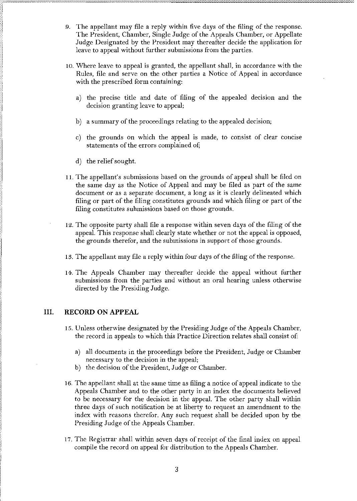- 9. The appellant may file a reply within five days of the filing of the response. The President, Chamber, Single Judge of the Appeals Chamber, or Appellate Judge Designated by the President may thereafter decide the application for leave to appeal without further submissions from the parties.
- 10. Where leave to appeal is granted, the appellant shall, in accordance with the Rules, file and serve on the other parties a Notice of Appeal in accordance with the prescribed form containing:
	- a) the precise title and date of filing of the appealed decision and the decision granting leave to appeal;
	- b) a summary of the proceedings relating to the appealed decision;
	- c) the grounds on which the appeal is made, to consist of clear concise statements of the errors complained of;
	- d) the relief sought.
- I 11. The appellant's submissions based on the grounds of appeal shall be filed on the same day as the Notice of Appeal and may be filed as part of the same document or as a separate document, a long as it is clearly delineated which filing or part of the filing constitutes grounds and which filing or part of the filing constitutes suhmissions based on those grounds.
- 12. The opposite party shall file a response within seven days of the filing of the appeal. This response shall clearly state whether or not the appeal is opposed, the grounds therefor, and the submissions in support of those grounds.
- 13. The appellant may file a reply within four days of the filing of the response.
- 14. The Appeals Chamber may thereafter decide the appeal without further submissions from the parties and without an oral hearing unless otherwise directed by the Presiding Judge.

### III. **RECORD ON APPEAL**

- 15. Unless otherwise designated by the Presiding Judge ofthe Appeals Chamber, the record in appeals to which this Practice Direction relates shall consist of:
	- a) all documents in the proceedings before the President, Judge or Chamber necessary to the decision in the appeal;
	- b) the decision of the President, Judge or Chamber.
- 16. The appellant shall at the same time as filing a notice of appeal indicate to the Appeals Chamber and to the other party in an index the documents believed to be necessary for the decision in the appeal. The other party shall within three days of such notification be at liberty to request an amendment to the index with reasons therefor. Any such request shall be decided upon by tbe Presiding Judge of the Appeals Chamber.
- 17. The Registrar shall within seven days of receipt of the final index on appeal compile the record on appeal for distribution to the Appeals Chamber.